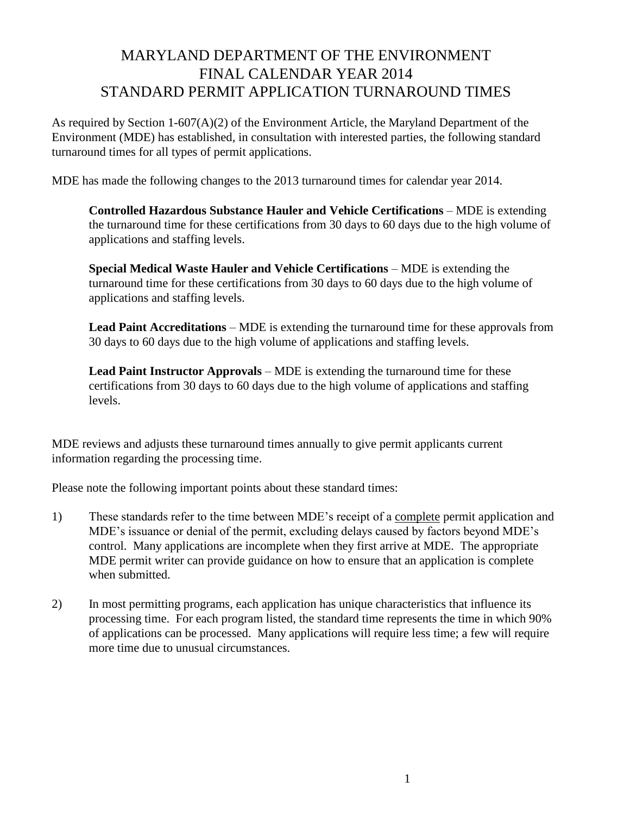## MARYLAND DEPARTMENT OF THE ENVIRONMENT FINAL CALENDAR YEAR 2014 STANDARD PERMIT APPLICATION TURNAROUND TIMES

As required by Section 1-607(A)(2) of the Environment Article, the Maryland Department of the Environment (MDE) has established, in consultation with interested parties, the following standard turnaround times for all types of permit applications.

MDE has made the following changes to the 2013 turnaround times for calendar year 2014.

**Controlled Hazardous Substance Hauler and Vehicle Certifications** – MDE is extending the turnaround time for these certifications from 30 days to 60 days due to the high volume of applications and staffing levels.

**Special Medical Waste Hauler and Vehicle Certifications** – MDE is extending the turnaround time for these certifications from 30 days to 60 days due to the high volume of applications and staffing levels.

**Lead Paint Accreditations** – MDE is extending the turnaround time for these approvals from 30 days to 60 days due to the high volume of applications and staffing levels.

**Lead Paint Instructor Approvals** – MDE is extending the turnaround time for these certifications from 30 days to 60 days due to the high volume of applications and staffing levels.

MDE reviews and adjusts these turnaround times annually to give permit applicants current information regarding the processing time.

Please note the following important points about these standard times:

- 1) These standards refer to the time between MDE's receipt of a complete permit application and MDE's issuance or denial of the permit, excluding delays caused by factors beyond MDE's control. Many applications are incomplete when they first arrive at MDE. The appropriate MDE permit writer can provide guidance on how to ensure that an application is complete when submitted.
- 2) In most permitting programs, each application has unique characteristics that influence its processing time. For each program listed, the standard time represents the time in which 90% of applications can be processed. Many applications will require less time; a few will require more time due to unusual circumstances.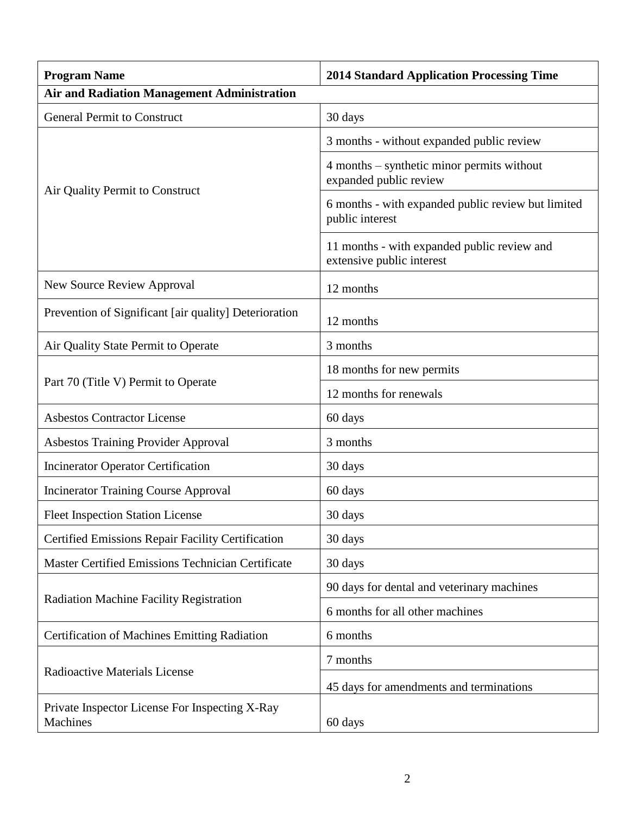| <b>Program Name</b>                                        | <b>2014 Standard Application Processing Time</b>                         |
|------------------------------------------------------------|--------------------------------------------------------------------------|
| <b>Air and Radiation Management Administration</b>         |                                                                          |
| <b>General Permit to Construct</b>                         | 30 days                                                                  |
|                                                            | 3 months - without expanded public review                                |
| Air Quality Permit to Construct                            | 4 months – synthetic minor permits without<br>expanded public review     |
|                                                            | 6 months - with expanded public review but limited<br>public interest    |
|                                                            | 11 months - with expanded public review and<br>extensive public interest |
| <b>New Source Review Approval</b>                          | 12 months                                                                |
| Prevention of Significant [air quality] Deterioration      | 12 months                                                                |
| Air Quality State Permit to Operate                        | 3 months                                                                 |
|                                                            | 18 months for new permits                                                |
| Part 70 (Title V) Permit to Operate                        | 12 months for renewals                                                   |
| <b>Asbestos Contractor License</b>                         | 60 days                                                                  |
| <b>Asbestos Training Provider Approval</b>                 | 3 months                                                                 |
| <b>Incinerator Operator Certification</b>                  | 30 days                                                                  |
| <b>Incinerator Training Course Approval</b>                | 60 days                                                                  |
| <b>Fleet Inspection Station License</b>                    | 30 days                                                                  |
| <b>Certified Emissions Repair Facility Certification</b>   | 30 days                                                                  |
| <b>Master Certified Emissions Technician Certificate</b>   | 30 days                                                                  |
|                                                            | 90 days for dental and veterinary machines                               |
| Radiation Machine Facility Registration                    | 6 months for all other machines                                          |
| <b>Certification of Machines Emitting Radiation</b>        | 6 months                                                                 |
| <b>Radioactive Materials License</b>                       | 7 months                                                                 |
|                                                            | 45 days for amendments and terminations                                  |
| Private Inspector License For Inspecting X-Ray<br>Machines | 60 days                                                                  |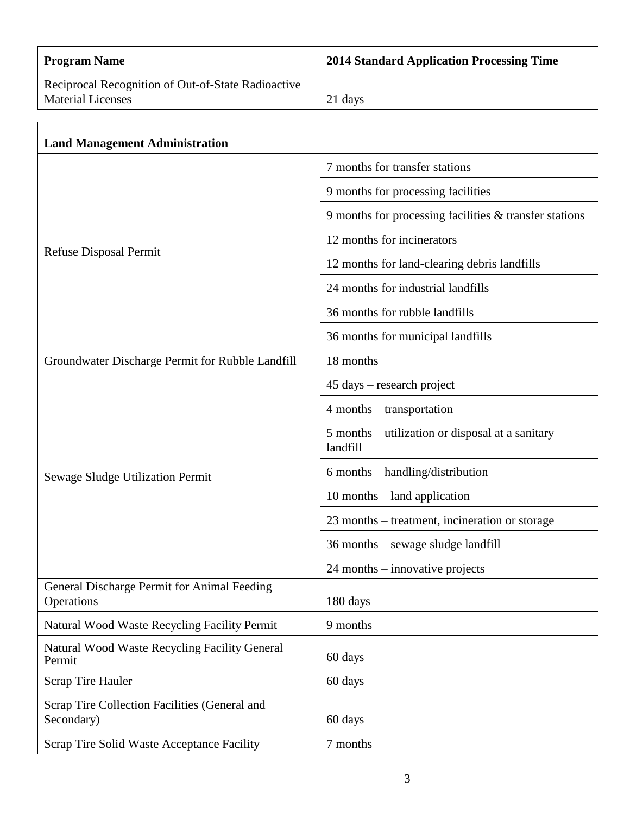| <b>Program Name</b>                                                            | <b>2014 Standard Application Processing Time</b> |
|--------------------------------------------------------------------------------|--------------------------------------------------|
| Reciprocal Recognition of Out-of-State Radioactive<br><b>Material Licenses</b> | 21 days                                          |
| <b>Land Management Administration</b>                                          |                                                  |
|                                                                                | 7 months for transfer stations                   |

| 9 months for processing facilities |  |
|------------------------------------|--|
|------------------------------------|--|

| $\frac{1}{2}$ 9 months for processing facilities & transfer stations |
|----------------------------------------------------------------------|
| 12 months for incinerators                                           |

|  | Refuse Disposal Permit |
|--|------------------------|
|--|------------------------|

| 12 months for land-clearing debris landfills |
|----------------------------------------------|
|                                              |

24 months for industrial landfills

4 months – transportation

36 months for rubble landfills 36 months for municipal landfills

Groundwater Discharge Permit for Rubble Landfill | 18 months 45 days – research project

Sewage Sludge Utilization Permit landfill 6 months – handling/distribution 10 months – land application

23 months – treatment, incineration or storage

5 months – utilization or disposal at a sanitary

36 months – sewage sludge landfill

|                                                                  | $24$ months – innovative projects |
|------------------------------------------------------------------|-----------------------------------|
| General Discharge Permit for Animal Feeding<br><b>Operations</b> | 180 days                          |
| Natural Wood Waste Recycling Facility Permit                     | 9 months                          |
| Natural Wood Waste Recycling Facility General<br>Permit          | 60 days                           |
| <b>Scrap Tire Hauler</b>                                         | 60 days                           |
| Scrap Tire Collection Facilities (General and<br>Secondary)      | 60 days                           |
| Scrap Tire Solid Waste Acceptance Facility                       | 7 months                          |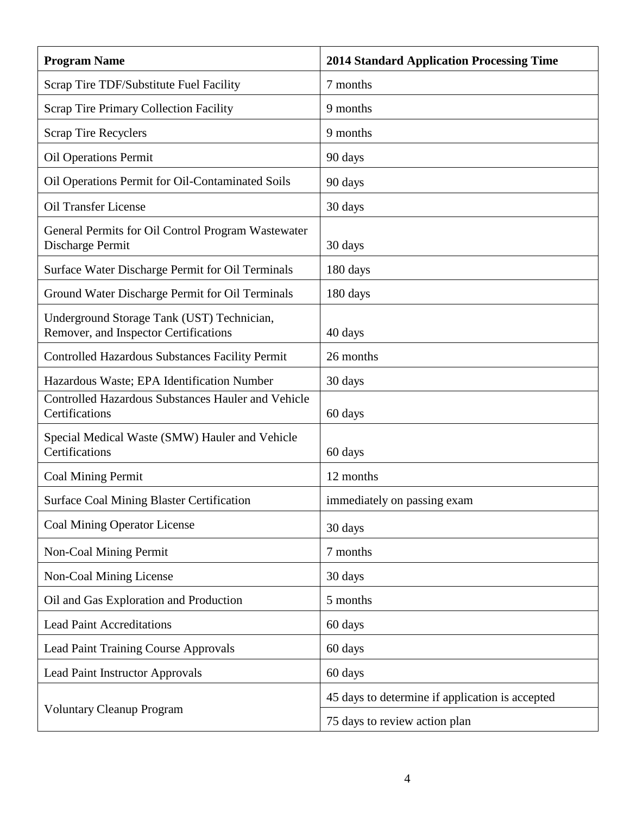| <b>Program Name</b>                                                                 | <b>2014 Standard Application Processing Time</b> |
|-------------------------------------------------------------------------------------|--------------------------------------------------|
| Scrap Tire TDF/Substitute Fuel Facility                                             | 7 months                                         |
| <b>Scrap Tire Primary Collection Facility</b>                                       | 9 months                                         |
| <b>Scrap Tire Recyclers</b>                                                         | 9 months                                         |
| <b>Oil Operations Permit</b>                                                        | 90 days                                          |
| Oil Operations Permit for Oil-Contaminated Soils                                    | 90 days                                          |
| <b>Oil Transfer License</b>                                                         | 30 days                                          |
| General Permits for Oil Control Program Wastewater<br>Discharge Permit              | 30 days                                          |
| Surface Water Discharge Permit for Oil Terminals                                    | 180 days                                         |
| Ground Water Discharge Permit for Oil Terminals                                     | 180 days                                         |
| Underground Storage Tank (UST) Technician,<br>Remover, and Inspector Certifications | 40 days                                          |
| <b>Controlled Hazardous Substances Facility Permit</b>                              | 26 months                                        |
| Hazardous Waste; EPA Identification Number                                          | 30 days                                          |
| <b>Controlled Hazardous Substances Hauler and Vehicle</b><br>Certifications         | 60 days                                          |
| Special Medical Waste (SMW) Hauler and Vehicle<br>Certifications                    | 60 days                                          |
| Coal Mining Permit                                                                  | 12 months                                        |
| <b>Surface Coal Mining Blaster Certification</b>                                    | immediately on passing exam                      |
| <b>Coal Mining Operator License</b>                                                 | 30 days                                          |
| <b>Non-Coal Mining Permit</b>                                                       | 7 months                                         |
| Non-Coal Mining License                                                             | 30 days                                          |
| Oil and Gas Exploration and Production                                              | 5 months                                         |
| <b>Lead Paint Accreditations</b>                                                    | 60 days                                          |
| <b>Lead Paint Training Course Approvals</b>                                         | 60 days                                          |
| <b>Lead Paint Instructor Approvals</b>                                              | 60 days                                          |
|                                                                                     | 45 days to determine if application is accepted  |
| <b>Voluntary Cleanup Program</b>                                                    | 75 days to review action plan                    |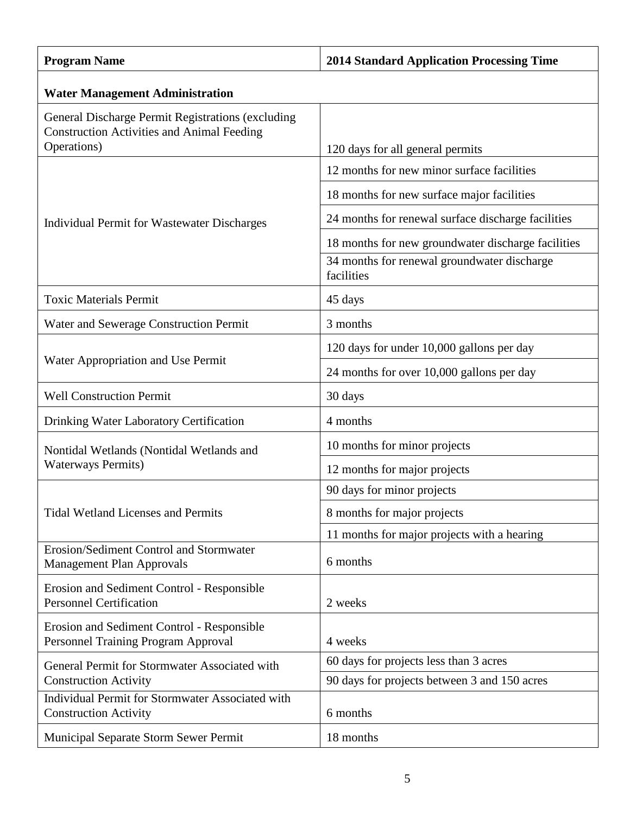| <b>Program Name</b>                                                                                    | <b>2014 Standard Application Processing Time</b>          |  |
|--------------------------------------------------------------------------------------------------------|-----------------------------------------------------------|--|
| <b>Water Management Administration</b>                                                                 |                                                           |  |
| General Discharge Permit Registrations (excluding<br><b>Construction Activities and Animal Feeding</b> |                                                           |  |
| Operations)                                                                                            | 120 days for all general permits                          |  |
|                                                                                                        | 12 months for new minor surface facilities                |  |
|                                                                                                        | 18 months for new surface major facilities                |  |
| <b>Individual Permit for Wastewater Discharges</b>                                                     | 24 months for renewal surface discharge facilities        |  |
|                                                                                                        | 18 months for new groundwater discharge facilities        |  |
|                                                                                                        | 34 months for renewal groundwater discharge<br>facilities |  |
| <b>Toxic Materials Permit</b>                                                                          | 45 days                                                   |  |
| Water and Sewerage Construction Permit                                                                 | 3 months                                                  |  |
|                                                                                                        | 120 days for under 10,000 gallons per day                 |  |
| Water Appropriation and Use Permit                                                                     | 24 months for over 10,000 gallons per day                 |  |
| <b>Well Construction Permit</b>                                                                        | 30 days                                                   |  |
| Drinking Water Laboratory Certification                                                                | 4 months                                                  |  |
| Nontidal Wetlands (Nontidal Wetlands and                                                               | 10 months for minor projects                              |  |
| <b>Waterways Permits)</b>                                                                              | 12 months for major projects                              |  |
|                                                                                                        | 90 days for minor projects                                |  |
| <b>Tidal Wetland Licenses and Permits</b>                                                              | 8 months for major projects                               |  |
|                                                                                                        | 11 months for major projects with a hearing               |  |
| Erosion/Sediment Control and Stormwater<br><b>Management Plan Approvals</b>                            | 6 months                                                  |  |
| Erosion and Sediment Control - Responsible<br><b>Personnel Certification</b>                           | 2 weeks                                                   |  |
| Erosion and Sediment Control - Responsible<br>Personnel Training Program Approval                      | 4 weeks                                                   |  |
| General Permit for Stormwater Associated with                                                          | 60 days for projects less than 3 acres                    |  |
| <b>Construction Activity</b>                                                                           | 90 days for projects between 3 and 150 acres              |  |
| Individual Permit for Stormwater Associated with<br><b>Construction Activity</b>                       | 6 months                                                  |  |
| Municipal Separate Storm Sewer Permit                                                                  | 18 months                                                 |  |